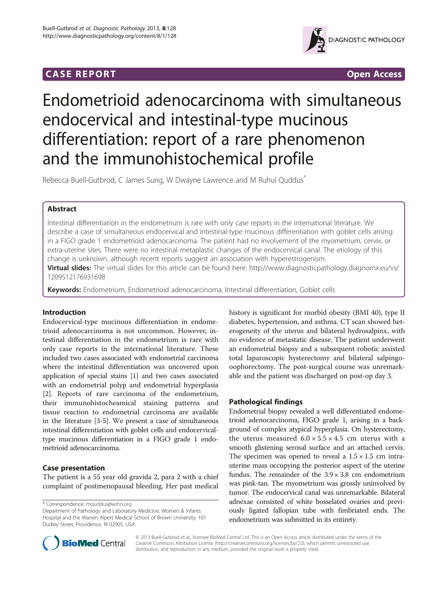## **CASE REPORT CASE REPORT**



# Endometrioid adenocarcinoma with simultaneous endocervical and intestinal-type mucinous differentiation: report of a rare phenomenon and the immunohistochemical profile

Rebecca Buell-Gutbrod, C James Sung, W Dwayne Lawrence and M Ruhul Quddus<sup>\*</sup>

## Abstract

Intestinal differentiation in the endometrium is rare with only case reports in the international literature. We describe a case of simultaneous endocervical and intestinal-type mucinous differentiation with goblet cells arising in a FIGO grade 1 endometrioid adenocarcinoma. The patient had no involvement of the myometrium, cervix, or extra-uterine sites. There were no intestinal metaplastic changes of the endocervical canal. The etiology of this change is unknown, although recent reports suggest an association with hyperestrogenism.

Virtual slides: The virtual slides for this article can be found here: [http://www.diagnosticpathology.diagnomx.eu/vs/](http://www.diagnosticpathology.diagnomx.eu/vs/1209512176931698) [1209512176931698](http://www.diagnosticpathology.diagnomx.eu/vs/1209512176931698)

Keywords: Endometrium, Endometrioid adenocarcinoma, Intestinal differentiation, Goblet cells

## Introduction

Endocervical-type mucinous differentiation in endometrioid adenocarcinoma is not uncommon. However, intestinal differentiation in the endometrium is rare with only case reports in the international literature. These included two cases associated with endometrial carcinoma where the intestinal differentiation was uncovered upon application of special stains [\[1](#page-2-0)] and two cases associated with an endometrial polyp and endometrial hyperplasia [[2\]](#page-2-0). Reports of rare carcinoma of the endometrium, their immunohistocheamical staining patterns and tissue reaction to endometrial carcinoma are available in the literature [\[3-5](#page-2-0)]. We present a case of simultaneous intestinal differentiation with goblet cells and endocervicaltype mucinous differentiation in a FIGO grade 1 endometrioid adenocarcinoma.

## Case presentation

The patient is a 55 year old gravida 2, para 2 with a chief complaint of postmenopausal bleeding. Her past medical

\* Correspondence: [mquddus@wihri.org](mailto:mquddus@wihri.org)

Department of Pathology and Laboratory Medicine, Women & Infants Hospital and the Warren Alpert Medical School of Brown University, 101 Dudley Street, Providence, RI 02905, USA

history is significant for morbid obesity (BMI 40), type II diabetes, hypertension, and asthma. CT scan showed heterogeneity of the uterus and bilateral hydrosalpinx, with no evidence of metastatic disease. The patient underwent an endometrial biopsy and a subsequent robotic assisted total laparoscopic hysterectomy and bilateral salpingooophorectomy. The post-surgical course was unremarkable and the patient was discharged on post-op day 3.

## Pathological findings

Endometrial biopsy revealed a well differentiated endometrioid adenocarcinoma, FIGO grade 1, arising in a background of complex atypical hyperplasia. On hysterectomy, the uterus measured  $6.0 \times 5.5 \times 4.5$  cm uterus with a smooth glistening serosal surface and an attached cervix. The specimen was opened to reveal a  $1.5 \times 1.5$  cm intrauterine mass occupying the posterior aspect of the uterine fundus. The remainder of the  $3.9 \times 3.8$  cm endometrium was pink-tan. The myometrium was grossly uninvolved by tumor. The endocervical canal was unremarkable. Bilateral adnexae consisted of white bosselated ovaries and previously ligated fallopian tube with fimbriated ends. The endometrium was submitted in its entirety.



© 2013 Buell-Gutbrod et al.; licensee BioMed Central Ltd. This is an Open Access article distributed under the terms of the Creative Commons Attribution License (<http://creativecommons.org/licenses/by/2.0>), which permits unrestricted use, distribution, and reproduction in any medium, provided the original work is properly cited.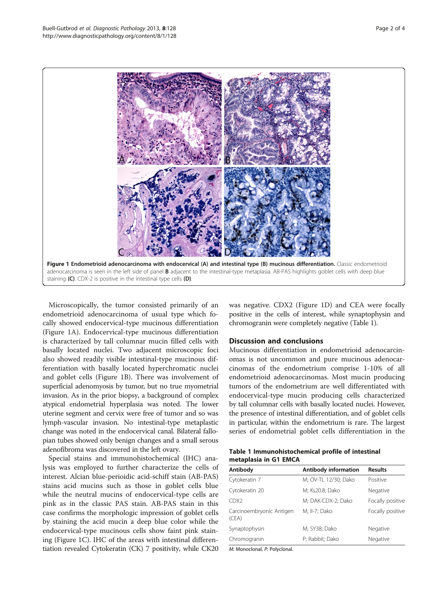

Microscopically, the tumor consisted primarily of an endometrioid adenocarcinoma of usual type which focally showed endocervical-type mucinous differentiation (Figure 1A). Endocervical-type mucinous differentiation is characterized by tall columnar mucin filled cells with basally located nuclei. Two adjacent microscopic foci also showed readily visible intestinal-type mucinous differentiation with basally located hyperchromatic nuclei and goblet cells (Figure 1B). There was involvement of superficial adenomyosis by tumor, but no true myometrial invasion. As in the prior biopsy, a background of complex atypical endometrial hyperplasia was noted. The lower uterine segment and cervix were free of tumor and so was lymph-vascular invasion. No intestinal-type metaplastic change was noted in the endocervical canal. Bilateral fallopian tubes showed only benign changes and a small serous adenofibroma was discovered in the left ovary.

Special stains and immunohistochemical (IHC) analysis was employed to further characterize the cells of interest. Alcian blue-perioidic acid-schiff stain (AB-PAS) stains acid mucins such as those in goblet cells blue while the neutral mucins of endocervical-type cells are pink as in the classic PAS stain. AB-PAS stain in this case confirms the morphologic impression of goblet cells by staining the acid mucin a deep blue color while the endocervical-type mucinous cells show faint pink staining (Figure 1C). IHC of the areas with intestinal differentiation revealed Cytokeratin (CK) 7 positivity, while CK20 was negative. CDX2 (Figure 1D) and CEA were focally positive in the cells of interest, while synaptophysin and chromogranin were completely negative (Table 1).

#### Discussion and conclusions

Mucinous differentiation in endometrioid adenocarcinomas is not uncommon and pure mucinous adenocarcinomas of the endometrium comprise 1-10% of all endometrioid adenocarcinomas. Most mucin producing tumors of the endometrium are well differentiated with endocervical-type mucin producing cells characterized by tall columnar cells with basally located nuclei. However, the presence of intestinal differentiation, and of goblet cells in particular, within the endometrium is rare. The largest series of endometrial goblet cells differentiation in the

| Table 1 Immunohistochemical profile of intestinal |  |
|---------------------------------------------------|--|
| metaplasia in G1 EMCA                             |  |

| Antibody                          | Antibody information | <b>Results</b>   |
|-----------------------------------|----------------------|------------------|
| Cytokeratin 7                     | M; OV-TL 12/30; Dako | Positive         |
| Cytokeratin 20                    | M; Ks20.8; Dako      | Negative         |
| CDX <sub>2</sub>                  | M; DAK-CDX-2; Dako   | Focally positive |
| Carcinoembryonic Antigen<br>(CEA) | M; II-7; Dako        | Focally positive |
| Synaptophysin                     | M; SY38; Dako        | Negative         |
| Chromogranin                      | P; Rabbit; Dako      | Negative         |

M: Monoclonal, P: Polyclonal.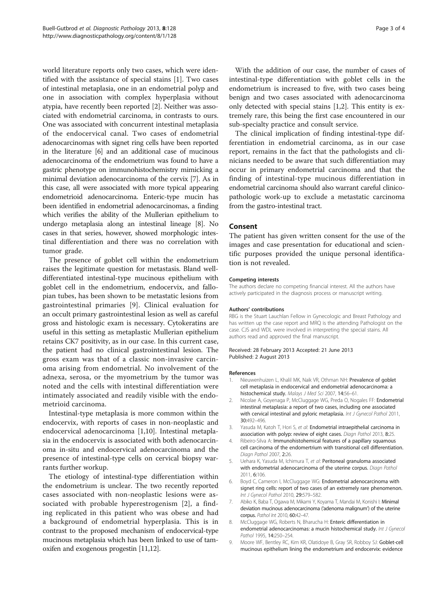<span id="page-2-0"></span>world literature reports only two cases, which were identified with the assistance of special stains [1]. Two cases of intestinal metaplasia, one in an endometrial polyp and one in association with complex hyperplasia without atypia, have recently been reported [2]. Neither was associated with endometrial carcinoma, in contrasts to ours. One was associated with concurrent intestinal metaplasia of the endocervical canal. Two cases of endometrial adenocarcinomas with signet ring cells have been reported in the literature [6] and an additional case of mucinous adenocarcinoma of the endometrium was found to have a gastric phenotype on immunohistochemistry mimicking a minimal deviation adenocarcinoma of the cervix [7]. As in this case, all were associated with more typical appearing endometrioid adenocarcinoma. Enteric-type mucin has been identified in endometrial adenocarcinomas, a finding which verifies the ability of the Mullerian epithelium to undergo metaplasia along an intestinal lineage [8]. No cases in that series, however, showed morphologic intestinal differentiation and there was no correlation with tumor grade.

The presence of goblet cell within the endometrium raises the legitimate question for metastasis. Bland welldifferentiated intestinal-type mucinous epithelium with goblet cell in the endometrium, endocervix, and fallopian tubes, has been shown to be metastatic lesions from gastrointestinal primaries [9]. Clinical evaluation for an occult primary gastrointestinal lesion as well as careful gross and histologic exam is necessary. Cytokeratins are useful in this setting as metaplastic Mullerian epithelium retains CK7 positivity, as in our case. In this current case, the patient had no clinical gastrointestinal lesion. The gross exam was that of a classic non-invasive carcinoma arising from endometrial. No involvement of the adnexa, serosa, or the myometrium by the tumor was noted and the cells with intestinal differentiation were intimately associated and readily visible with the endometrioid carcinoma.

Intestinal-type metaplasia is more common within the endocervix, with reports of cases in non-neoplastic and endocervical adenocarcinoma [1[,10](#page-3-0)]. Intestinal metaplasia in the endocervix is associated with both adenocarcinoma in-situ and endocervical adenocarcinoma and the presence of intestinal-type cells on cervical biopsy warrants further workup.

The etiology of intestinal-type differentiation within the endometrium is unclear. The two recently reported cases associated with non-neoplastic lesions were associated with probable hyperestrogenism [2], a finding replicated in this patient who was obese and had a background of endometrial hyperplasia. This is in contrast to the proposed mechanism of endocervical-type mucinous metaplasia which has been linked to use of tamoxifen and exogenous progestin [[11,12\]](#page-3-0).

With the addition of our case, the number of cases of intestinal-type differentiation with goblet cells in the endometrium is increased to five, with two cases being benign and two cases associated with adenocarcinoma only detected with special stains [1,2]. This entity is extremely rare, this being the first case encountered in our sub-specialty practice and consult service.

The clinical implication of finding intestinal-type differentiation in endometrial carcinoma, as in our case report, remains in the fact that the pathologists and clinicians needed to be aware that such differentiation may occur in primary endometrial carcinoma and that the finding of intestinal-type mucinous differentiation in endometrial carcinoma should also warrant careful clinicopathologic work-up to exclude a metastatic carcinoma from the gastro-intestinal tract.

#### Consent

The patient has given written consent for the use of the images and case presentation for educational and scientific purposes provided the unique personal identification is not revealed.

#### Competing interests

The authors declare no competing financial interest. All the authors have actively participated in the diagnosis process or manuscript writing.

#### Authors' contributions

RBG is the Stuart Lauchlan Fellow in Gynecologic and Breast Pathology and has written up the case report and MRQ is the attending Pathologist on the case. CJS and WDL were involved in interpreting the special stains. All authors read and approved the final manuscript.

#### Received: 28 February 2013 Accepted: 21 June 2013 Published: 2 August 2013

#### References

- 1. Nieuwenhuizen L, Khalil MK, Naik VR, Othman NH: Prevalence of goblet cell metaplasia in endocervical and endometrial adenocarcinoma: a histochemical study. Malays J Med Sci 2007, 14:56-61.
- 2. Nicolae A, Goyenaga P, McCluggage WG, Preda O, Nogales FF: Endometrial intestinal metaplasia: a report of two cases, including one associated with cervical intestinal and pyloric metaplasia. Int J Gynecol Pathol 2011, 30:492–496.
- 3. Yasuda M, Katoh T, Hori S, et al: Endometrial intraepithelial carcinoma in association with polyp: review of eight cases. Diagn Pathol 2013, 8:25.
- 4. Ribeiro-Silva A: Immunohistohemical features of a papillary squamous cell carcinoma of the endomertrium with transitional cell differentiation. Diagn Pathol 2007, 2:26.
- 5. Uehara K, Yasuda M, Ichimura T, et al: Peritoneal granuloma associated with endometrial adenocarcinoma of the uterine corpus. Diagn Pathol 2011, 6:106.
- 6. Boyd C, Cameron I, McCluggage WG: Endometrial adenocarcinoma with signet ring cells: report of two cases of an extremely rare phenomenon. Int J Gynecol Pathol 2010, 29:579–582.
- 7. Abiko K, Baba T, Ogawa M, Mikami Y, Koyama T, Mandai M, Konishi I: Minimal deviation mucinous adenocarcinoma ('adenoma malignum') of the uterine corpus. Pathol Int 2010, 60:42–47.
- 8. McCluggage WG, Roberts N, Bharucha H: Enteric differentiation in endometrial adenocarcinomas: a mucin histochemical study. Int J Gynecol Pathol 1995, 14:250–254.
- 9. Moore WF, Bentley RC, Kim KR, Olatidoye B, Gray SR, Robboy SJ: Goblet-cell mucinous epithelium lining the endometrium and endocervix: evidence